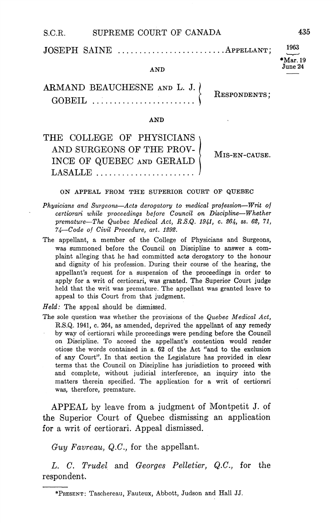| S.C.R. | SUPREME COURT OF CANADA      | 435        |
|--------|------------------------------|------------|
|        | JOSEPH SAINE APPELLANT; 1963 | $*Mar. 19$ |
|        | <b>AND</b>                   | June 24    |

# ARMAND BEAUCHESNE AND GOBEIL RESPONDENTS

### AND

| THE COLLEGE OF PHYSICIANS   |               |
|-----------------------------|---------------|
| AND SURGEONS OF THE PROV-   | MIS-EN-CAUSE. |
| INCE OF QUEBEC AND GERALD ( |               |
|                             |               |

#### ON APPEAL FROM THE SUPERIOR COURT OF QUEBEC

- Physicians and Surgeons-Acts derogatory to medical profession-Writ of certiorari while proceedings before Council on Discipline-Whether premature—The Quebec Medical Act,  $R.S.Q.$  1941, c. 264, ss. 62, 71, 74-Code of Civil Procedure, art. 1292.
- The appellant, a member of the College of Physicians and Surgeons, was summoned before the Council on Discipline to answer a complaint alleging that he had committed acts derogatory to the honour and dignity of his profession. During their course of the hearing, the appellant's request for a suspension of the proceedings in order to apply for a writ of certiorari, was granted. The Superior Court judge held that the writ was premature. The appellant was granted leave to appeal to this Court from that judgment

 $Held$ : The appeal should be dismissed.

The sole question was whether the provisions of the Quebec Medical Act, R.S.Q. 1941, c. 264, as amended, deprived the appellant of any remedy by way of certiorari while proceedings were pending before the Council on Discipline. To acceed the appellant's contention would render otiose the words contained in s. 62 of the Act "and to the exclusion of any Court". In that section the Legislature has provided in clear terms that the Council on Discipline has jurisdiction to proceed with and complete, without judicial interference, an inquiry into the matters therein specified. The application for a writ of certiorari was, therefore, premature.

APPEAL by leave from a judgment of Montpetit J. of the Superior Court of Quebec dismissing an application for a writ of certiorari. Appeal dismissed.

Guy Favreau, Q.C., for the appellant.

L. C. Trudel and Georges Pelletier, Q.C., for the respondent

<sup>\*</sup>PRESENT: Taschereau, Fauteux, Abbott, Judson and Hall JJ.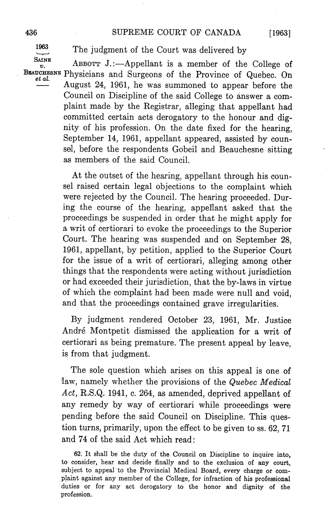1963

The judgment of the Court was delivered by

SAINE ABBOTT J.:—Appellant is a member of the College of

BEAUCHESNE Physicians and Surgeons of the Province of Quebec. On August 24, 1961, he was summoned to appear before the Council on Discipline of the said College to answer a complaint made by the Registrar, alleging that appellant had committed certain acts derogatory to the honour and dig nity of his profession On the date fixed for the hearing September 14, 1961, appellant appeared, assisted by counsel, before the respondents Gobeil and Beauchesne sitting as members of the said Council

> At the outset of the hearing, appellant through his counsel raised certain legal objections to the complaint which were rejected by the Council. The hearing proceeded. During the course of the hearing, appellant asked that the proceedings be suspended in order that he might apply for writ of certiorari to evoke the proceedings to the Superior Court. The hearing was suspended and on September 28, 1961, appellant, by petition, applied to the Superior Court for the issue of a writ of certiorari, alleging among other things that the respondents were acting without jurisdiction or had exceeded their jurisdiction that the by-laws in virtue of which the complaint had been made were null and void and that the proceedings contained grave irregularities

> By judgment rendered October 23, 1961, Mr. Justice André Montpetit dismissed the application for a writ of certiorari as being premature. The present appeal by leave, is from that judgment

> The sole question which arises on this appeal is one of law, namely whether the provisions of the Quebec Medical Act, R.S.Q. 1941, c. 264, as amended, deprived appellant of any remedy by way of certiorari while proceedings were pending before the said Council on Discipline. This question turns, primarily, upon the effect to be given to ss. 62, 71 and 74 of the said Act which read

> 62. It shall be the duty of the Council on Discipline to inquire into, to consider, hear and decide finally and to the exclusion of any court, subject to appeal to the Provincial Medical Board, every charge or complaint against any member of the College, for infraction of his professional duties or for any act derogatory to the honor and dignity of the profession

 $[1963]$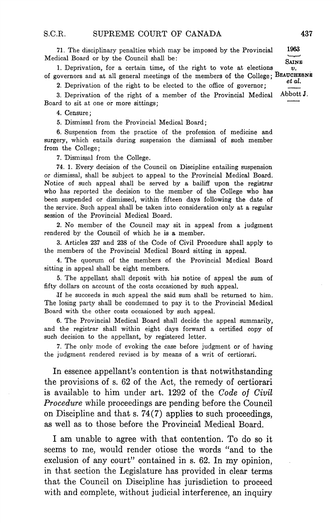71 The disciplinary penalties which may be imposed by the Provincial <sup>1963</sup> Medical Board or by the Council shall be

**SAINE** 1. Deprivation, for a certain time, of the right to vote at elections  $\boldsymbol{v}$ . of governors and at all general meetings of the members of the College;  $\frac{BEAUCHESNE}{et al.}$ 

2. Deprivation of the right to be elected to the office of governor;

3. Deprivation of the right of a member of the Provincial Medical Abbott J. Board to sit at one or more sittings

4. Censure;

5. Dismissal from the Provincial Medical Board;

Suspension from the practice of the profession of medicine and surgery, which entails during suspension the dismissal of such member from the College

7. Dismissal from the College.

74 Every decision of the Council on Discipline entailing suspension or dismissal, shall be subject to appeal to the Provincial Medical Board. Notice of such appeal shall be served by a bailiff upon the registrar who has reported the decision to the member of the College who has been suspended or dismissed, within fifteen days following the date of the service. Such appeal shall be taken into consideration only at a regular session of the Provincial Medical Board

2. No member of the Council may sit in appeal from a judgment rendered by the Council of which he is a member.

Articles 237 and 238 of the Code of Civil Procedure shall apply to the members of the Provincial Medical Board sitting in appeal

The quorum of the members of the Provincial Medical Board sitting in appeal shall be eight members

The appellant shall deposit with his notice of appeal the sum of fifty dollars on account of the costs occasioned by such appeal

lf he succeeds in such appeal the said sum shall be returned to him The losing party shall be condemned to pay it to the Provincial Medical Board with the other costs occasioned by such appeal

6. The Provincial Medical Board shall decide the appeal summarily, and the registrar shall within eight days forward a certified copy of such decision to the appellant, by registered letter.

7. The only mode of evoking the case before judgment or of having the judgment rendered revised is by means of a writ of certiorari.

In essence appellant's contention is that notwithstanding the provisions of  $s.62$  of the Act, the remedy of certiorari is available to him under art. 1292 of the Code of Civil Procedure while proceedings are pending before the Council on Discipline and that  $s. 74(7)$  applies to such proceedings, as well as to those before the Provincial Medical Board.

I am unable to agree with that contention. To do so it seems to me, would render otiose the words "and to the exclusion of any court" contained in  $s$ . 62. In my opinion, in that section the Legislature has provided in clear terms that the Council on Discipline has jurisdiction to proceed with and complete, without judicial interference, an inquiry